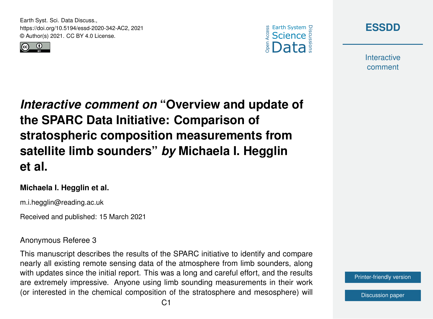Earth Syst. Sci. Data Discuss., https://doi.org/10.5194/essd-2020-342-AC2, 2021 © Author(s) 2021. CC BY 4.0 License.







**Interactive** comment

*Interactive comment on* **"Overview and update of the SPARC Data Initiative: Comparison of stratospheric composition measurements from satellite limb sounders"** *by* **Michaela I. Hegglin et al.**

### **Michaela I. Hegglin et al.**

m.i.hegglin@reading.ac.uk

Received and published: 15 March 2021

### Anonymous Referee 3

This manuscript describes the results of the SPARC initiative to identify and compare nearly all existing remote sensing data of the atmosphere from limb sounders, along with updates since the initial report. This was a long and careful effort, and the results are extremely impressive. Anyone using limb sounding measurements in their work (or interested in the chemical composition of the stratosphere and mesosphere) will

[Printer-friendly version](https://essd.copernicus.org/preprints/essd-2020-342/essd-2020-342-AC2-print.pdf)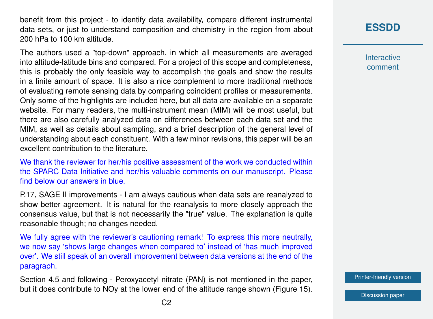benefit from this project - to identify data availability, compare different instrumental data sets, or just to understand composition and chemistry in the region from about 200 hPa to 100 km altitude.

The authors used a "top-down" approach, in which all measurements are averaged into altitude-latitude bins and compared. For a project of this scope and completeness, this is probably the only feasible way to accomplish the goals and show the results in a finite amount of space. It is also a nice complement to more traditional methods of evaluating remote sensing data by comparing coincident profiles or measurements. Only some of the highlights are included here, but all data are available on a separate website. For many readers, the multi-instrument mean (MIM) will be most useful, but there are also carefully analyzed data on differences between each data set and the MIM, as well as details about sampling, and a brief description of the general level of understanding about each constituent. With a few minor revisions, this paper will be an excellent contribution to the literature.

We thank the reviewer for her/his positive assessment of the work we conducted within the SPARC Data Initiative and her/his valuable comments on our manuscript. Please find below our answers in blue.

P.17, SAGE II improvements - I am always cautious when data sets are reanalyzed to show better agreement. It is natural for the reanalysis to more closely approach the consensus value, but that is not necessarily the "true" value. The explanation is quite reasonable though; no changes needed.

We fully agree with the reviewer's cautioning remark! To express this more neutrally, we now say 'shows large changes when compared to' instead of 'has much improved over'. We still speak of an overall improvement between data versions at the end of the paragraph.

Section 4.5 and following - Peroxyacetyl nitrate (PAN) is not mentioned in the paper, but it does contribute to NOy at the lower end of the altitude range shown (Figure 15). **[ESSDD](https://essd.copernicus.org/preprints/)**

**Interactive** comment

[Printer-friendly version](https://essd.copernicus.org/preprints/essd-2020-342/essd-2020-342-AC2-print.pdf)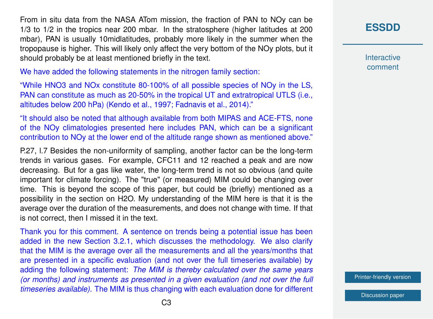From in situ data from the NASA ATom mission, the fraction of PAN to NOy can be 1/3 to 1/2 in the tropics near 200 mbar. In the stratosphere (higher latitudes at 200 mbar), PAN is usually 10midlatitudes, probably more likely in the summer when the tropopause is higher. This will likely only affect the very bottom of the NOy plots, but it should probably be at least mentioned briefly in the text.

We have added the following statements in the nitrogen family section:

"While HNO3 and NOx constitute 80-100% of all possible species of NOy in the LS, PAN can constitute as much as 20-50% in the tropical UT and extratropical UTLS (i.e., altitudes below 200 hPa) (Kendo et al., 1997; Fadnavis et al., 2014)."

"It should also be noted that although available from both MIPAS and ACE-FTS, none of the NOy climatologies presented here includes PAN, which can be a significant contribution to NOy at the lower end of the altitude range shown as mentioned above."

P.27, l.7 Besides the non-uniformity of sampling, another factor can be the long-term trends in various gases. For example, CFC11 and 12 reached a peak and are now decreasing. But for a gas like water, the long-term trend is not so obvious (and quite important for climate forcing). The "true" (or measured) MIM could be changing over time. This is beyond the scope of this paper, but could be (briefly) mentioned as a possibility in the section on H2O. My understanding of the MIM here is that it is the average over the duration of the measurements, and does not change with time. If that is not correct, then I missed it in the text.

Thank you for this comment. A sentence on trends being a potential issue has been added in the new Section 3.2.1, which discusses the methodology. We also clarify that the MIM is the average over all the measurements and all the years/months that are presented in a specific evaluation (and not over the full timeseries available) by adding the following statement: *The MIM is thereby calculated over the same years (or months) and instruments as presented in a given evaluation (and not over the full timeseries available).* The MIM is thus changing with each evaluation done for different

# **[ESSDD](https://essd.copernicus.org/preprints/)**

**Interactive** comment

[Printer-friendly version](https://essd.copernicus.org/preprints/essd-2020-342/essd-2020-342-AC2-print.pdf)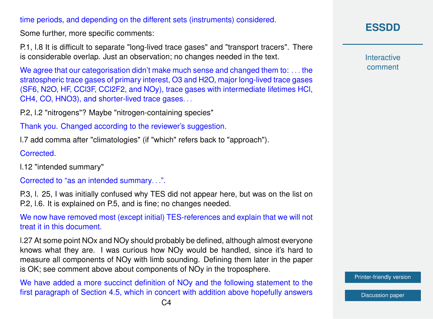#### time periods, and depending on the different sets (instruments) considered.

Some further, more specific comments:

P.1, l.8 It is difficult to separate "long-lived trace gases" and "transport tracers". There is considerable overlap. Just an observation; no changes needed in the text.

We agree that our categorisation didn't make much sense and changed them to: ... the stratospheric trace gases of primary interest, O3 and H2O, major long-lived trace gases (SF6, N2O, HF, CCl3F, CCl2F2, and NOy), trace gases with intermediate lifetimes HCl, CH4, CO, HNO3), and shorter-lived trace gases. . .

P.2, l.2 "nitrogens"? Maybe "nitrogen-containing species"

Thank you. Changed according to the reviewer's suggestion.

l.7 add comma after "climatologies" (if "which" refers back to "approach").

Corrected.

l.12 "intended summary"

Corrected to "as an intended summary. . .".

P.3, l. 25, I was initially confused why TES did not appear here, but was on the list on P.2, l.6. It is explained on P.5, and is fine; no changes needed.

We now have removed most (except initial) TES-references and explain that we will not treat it in this document.

l.27 At some point NOx and NOy should probably be defined, although almost everyone knows what they are. I was curious how NOy would be handled, since it's hard to measure all components of NOy with limb sounding. Defining them later in the paper is OK; see comment above about components of NOy in the troposphere.

We have added a more succinct definition of NO<sub>V</sub> and the following statement to the first paragraph of Section 4.5, which in concert with addition above hopefully answers **[ESSDD](https://essd.copernicus.org/preprints/)**

**Interactive** comment

[Printer-friendly version](https://essd.copernicus.org/preprints/essd-2020-342/essd-2020-342-AC2-print.pdf)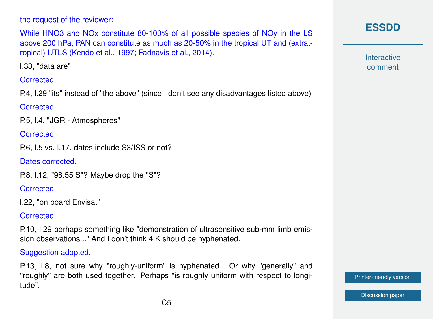the request of the reviewer:

While HNO3 and NOx constitute 80-100% of all possible species of NOy in the LS above 200 hPa, PAN can constitute as much as 20-50% in the tropical UT and (extratropical) UTLS (Kendo et al., 1997; Fadnavis et al., 2014).

l.33, "data are"

**Corrected.** 

P.4, l.29 "its" instead of "the above" (since I don't see any disadvantages listed above)

Corrected.

P.5, l.4, "JGR - Atmospheres"

Corrected.

P.6, l.5 vs. l.17, dates include S3/ISS or not?

Dates corrected.

P.8, l.12, "98.55 S"? Maybe drop the "S"?

**Corrected.** 

l.22, "on board Envisat"

Corrected.

P.10, l.29 perhaps something like "demonstration of ultrasensitive sub-mm limb emission observations..." And I don't think 4 K should be hyphenated.

Suggestion adopted.

P.13, l.8, not sure why "roughly-uniform" is hyphenated. Or why "generally" and "roughly" are both used together. Perhaps "is roughly uniform with respect to longitude".



**Interactive** comment

[Printer-friendly version](https://essd.copernicus.org/preprints/essd-2020-342/essd-2020-342-AC2-print.pdf)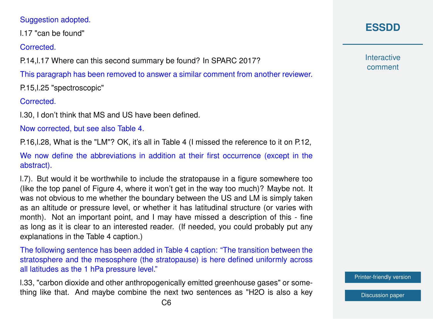### Suggestion adopted.

l.17 "can be found"

Corrected.

P.14,l.17 Where can this second summary be found? In SPARC 2017?

This paragraph has been removed to answer a similar comment from another reviewer.

P.15,l.25 "spectroscopic"

Corrected.

l.30, I don't think that MS and US have been defined.

Now corrected, but see also Table 4.

P.16,l.28, What is the "LM"? OK, it's all in Table 4 (I missed the reference to it on P.12,

We now define the abbreviations in addition at their first occurrence (except in the abstract).

l.7). But would it be worthwhile to include the stratopause in a figure somewhere too (like the top panel of Figure 4, where it won't get in the way too much)? Maybe not. It was not obvious to me whether the boundary between the US and LM is simply taken as an altitude or pressure level, or whether it has latitudinal structure (or varies with month). Not an important point, and I may have missed a description of this - fine as long as it is clear to an interested reader. (If needed, you could probably put any explanations in the Table 4 caption.)

The following sentence has been added in Table 4 caption: "The transition between the stratosphere and the mesosphere (the stratopause) is here defined uniformly across all latitudes as the 1 hPa pressure level."

l.33, "carbon dioxide and other anthropogenically emitted greenhouse gases" or something like that. And maybe combine the next two sentences as "H2O is also a key **[ESSDD](https://essd.copernicus.org/preprints/)**

**Interactive** comment

[Printer-friendly version](https://essd.copernicus.org/preprints/essd-2020-342/essd-2020-342-AC2-print.pdf)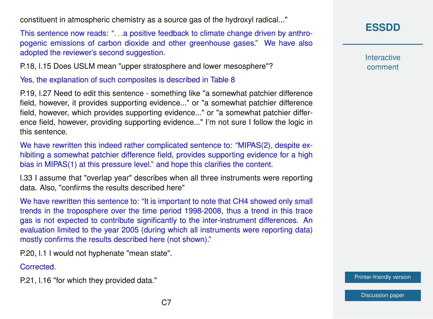constituent in atmospheric chemistry as a source gas of the hydroxyl radical..."

This sentence now reads: "...a positive feedback to climate change driven by anthropogenic emissions of carbon dioxide and other greenhouse gases." We have also adopted the reviewer's second suggestion.

P.18, l.15 Does USLM mean "upper stratosphere and lower mesosphere"?

Yes, the explanation of such composites is described in Table 8

P.19, l.27 Need to edit this sentence - something like "a somewhat patchier difference field, however, it provides supporting evidence..." or "a somewhat patchier difference field, however, which provides supporting evidence..." or "a somewhat patchier difference field, however, providing supporting evidence..." I'm not sure I follow the logic in this sentence.

We have rewritten this indeed rather complicated sentence to: "MIPAS(2), despite exhibiting a somewhat patchier difference field, provides supporting evidence for a high bias in MIPAS(1) at this pressure level." and hope this clarifies the content.

l.33 I assume that "overlap year" describes when all three instruments were reporting data. Also, "confirms the results described here"

We have rewritten this sentence to: "It is important to note that CH4 showed only small trends in the troposphere over the time period 1998-2008, thus a trend in this trace gas is not expected to contribute significantly to the inter-instrument differences. An evaluation limited to the year 2005 (during which all instruments were reporting data) mostly confirms the results described here (not shown)."

P.20, l.1 I would not hyphenate "mean state".

Corrected.

P.21, l.16 "for which they provided data."

**[ESSDD](https://essd.copernicus.org/preprints/)**

**Interactive** comment

[Printer-friendly version](https://essd.copernicus.org/preprints/essd-2020-342/essd-2020-342-AC2-print.pdf)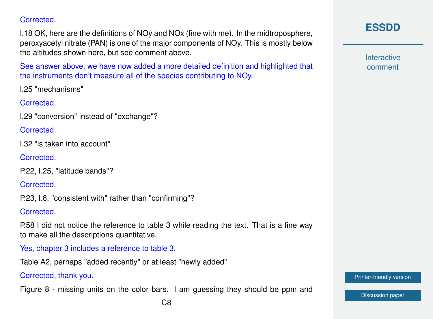**Corrected.** 

l.18 OK, here are the definitions of NOy and NOx (fine with me). In the midtroposphere, peroxyacetyl nitrate (PAN) is one of the major components of NOy. This is mostly below the altitudes shown here, but see comment above.

See answer above, we have now added a more detailed definition and highlighted that the instruments don't measure all of the species contributing to NOy.

l.25 "mechanisms"

Corrected.

l.29 "conversion" instead of "exchange"?

**Corrected.** 

l.32 "is taken into account"

Corrected.

```
P.22, l.25, "latitude bands"?
```
Corrected.

P.23, l.8, "consistent with" rather than "confirming"?

**Corrected.** 

P.58 I did not notice the reference to table 3 while reading the text. That is a fine way to make all the descriptions quantitative.

Yes, chapter 3 includes a reference to table 3.

Table A2, perhaps "added recently" or at least "newly added"

Corrected, thank you.

Figure 8 - missing units on the color bars. I am guessing they should be ppm and

**Interactive** comment

[Printer-friendly version](https://essd.copernicus.org/preprints/essd-2020-342/essd-2020-342-AC2-print.pdf)